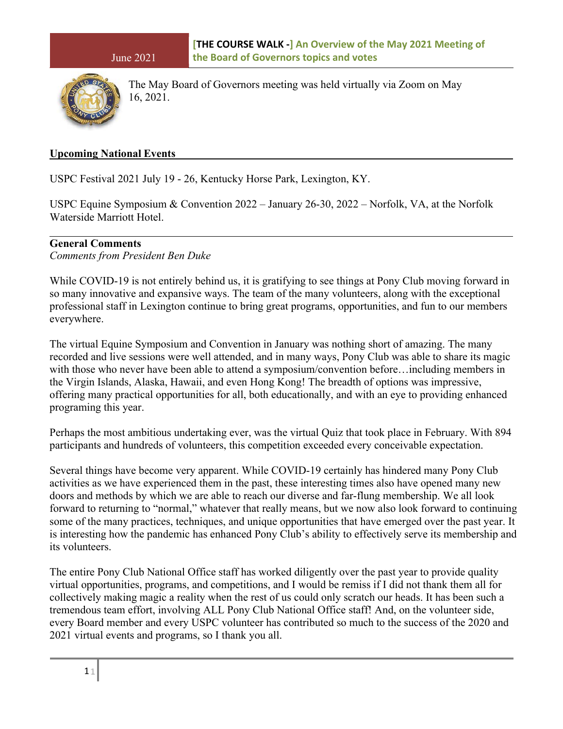

The May Board of Governors meeting was held virtually via Zoom on May 16, 2021.

#### **Upcoming National Events**

USPC Festival 2021 July 19 - 26, Kentucky Horse Park, Lexington, KY.

USPC Equine Symposium & Convention 2022 – January 26-30, 2022 – Norfolk, VA, at the Norfolk Waterside Marriott Hotel.

## **General Comments**

*Comments from President Ben Duke*

While COVID-19 is not entirely behind us, it is gratifying to see things at Pony Club moving forward in so many innovative and expansive ways. The team of the many volunteers, along with the exceptional professional staff in Lexington continue to bring great programs, opportunities, and fun to our members everywhere.

The virtual Equine Symposium and Convention in January was nothing short of amazing. The many recorded and live sessions were well attended, and in many ways, Pony Club was able to share its magic with those who never have been able to attend a symposium/convention before…including members in the Virgin Islands, Alaska, Hawaii, and even Hong Kong! The breadth of options was impressive, offering many practical opportunities for all, both educationally, and with an eye to providing enhanced programing this year.

Perhaps the most ambitious undertaking ever, was the virtual Quiz that took place in February. With 894 participants and hundreds of volunteers, this competition exceeded every conceivable expectation.

Several things have become very apparent. While COVID-19 certainly has hindered many Pony Club activities as we have experienced them in the past, these interesting times also have opened many new doors and methods by which we are able to reach our diverse and far-flung membership. We all look forward to returning to "normal," whatever that really means, but we now also look forward to continuing some of the many practices, techniques, and unique opportunities that have emerged over the past year. It is interesting how the pandemic has enhanced Pony Club's ability to effectively serve its membership and its volunteers.

The entire Pony Club National Office staff has worked diligently over the past year to provide quality virtual opportunities, programs, and competitions, and I would be remiss if I did not thank them all for collectively making magic a reality when the rest of us could only scratch our heads. It has been such a tremendous team effort, involving ALL Pony Club National Office staff! And, on the volunteer side, every Board member and every USPC volunteer has contributed so much to the success of the 2020 and 2021 virtual events and programs, so I thank you all.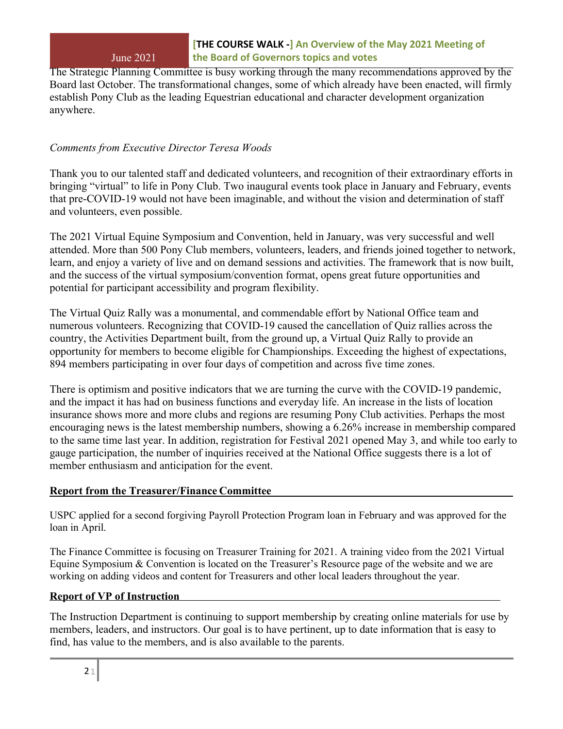The Strategic Planning Committee is busy working through the many recommendations approved by the Board last October. The transformational changes, some of which already have been enacted, will firmly establish Pony Club as the leading Equestrian educational and character development organization anywhere.

# *Comments from Executive Director Teresa Woods*

Thank you to our talented staff and dedicated volunteers, and recognition of their extraordinary efforts in bringing "virtual" to life in Pony Club. Two inaugural events took place in January and February, events that pre-COVID-19 would not have been imaginable, and without the vision and determination of staff and volunteers, even possible.

The 2021 Virtual Equine Symposium and Convention, held in January, was very successful and well attended. More than 500 Pony Club members, volunteers, leaders, and friends joined together to network, learn, and enjoy a variety of live and on demand sessions and activities. The framework that is now built, and the success of the virtual symposium/convention format, opens great future opportunities and potential for participant accessibility and program flexibility.

The Virtual Quiz Rally was a monumental, and commendable effort by National Office team and numerous volunteers. Recognizing that COVID-19 caused the cancellation of Quiz rallies across the country, the Activities Department built, from the ground up, a Virtual Quiz Rally to provide an opportunity for members to become eligible for Championships. Exceeding the highest of expectations, 894 members participating in over four days of competition and across five time zones.

There is optimism and positive indicators that we are turning the curve with the COVID-19 pandemic, and the impact it has had on business functions and everyday life. An increase in the lists of location insurance shows more and more clubs and regions are resuming Pony Club activities. Perhaps the most encouraging news is the latest membership numbers, showing a 6.26% increase in membership compared to the same time last year. In addition, registration for Festival 2021 opened May 3, and while too early to gauge participation, the number of inquiries received at the National Office suggests there is a lot of member enthusiasm and anticipation for the event.

## **Report from the Treasurer/Finance Committee**

USPC applied for a second forgiving Payroll Protection Program loan in February and was approved for the loan in April.

The Finance Committee is focusing on Treasurer Training for 2021. A training video from the 2021 Virtual Equine Symposium & Convention is located on the Treasurer's Resource page of the website and we are working on adding videos and content for Treasurers and other local leaders throughout the year.

## **Report of VP of Instruction**

The Instruction Department is continuing to support membership by creating online materials for use by members, leaders, and instructors. Our goal is to have pertinent, up to date information that is easy to find, has value to the members, and is also available to the parents.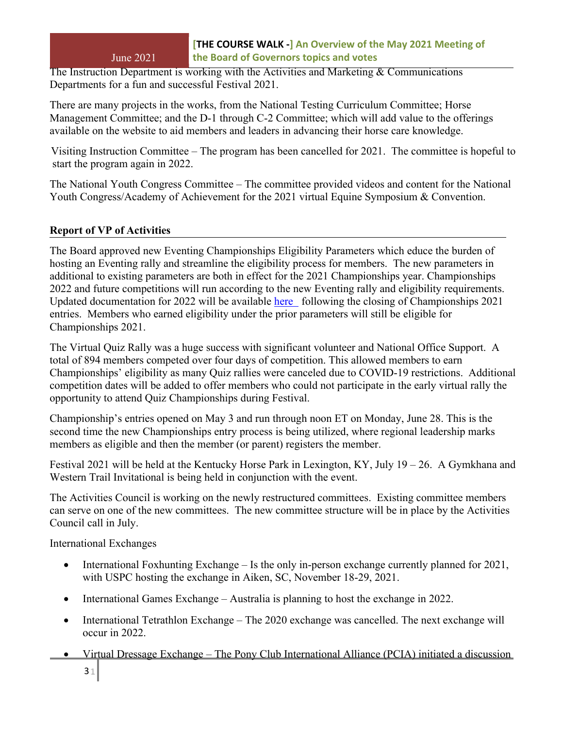The Instruction Department is working with the Activities and Marketing & Communications Departments for a fun and successful Festival 2021.

There are many projects in the works, from the National Testing Curriculum Committee; Horse Management Committee; and the D-1 through C-2 Committee; which will add value to the offerings available on the website to aid members and leaders in advancing their horse care knowledge.

Visiting Instruction Committee – The program has been cancelled for 2021. The committee is hopeful to start the program again in 2022.

The National Youth Congress Committee – The committee provided videos and content for the National Youth Congress/Academy of Achievement for the 2021 virtual Equine Symposium & Convention.

# **Report of VP of Activities**

The Board approved new Eventing Championships Eligibility Parameters which educe the burden of hosting an Eventing rally and streamline the eligibility process for members. The new parameters in additional to existing parameters are both in effect for the 2021 Championships year. Championships 2022 and future competitions will run according to the new Eventing rally and eligibility requirements. Updated documentation for 2022 will be available [here](https://www.ponyclub.org/Events/Championships/CompetitorInformation.aspx) following the closing of Championships 2021 entries. Members who earned eligibility under the prior parameters will still be eligible for Championships 2021.

The Virtual Quiz Rally was a huge success with significant volunteer and National Office Support. A total of 894 members competed over four days of competition. This allowed members to earn Championships' eligibility as many Quiz rallies were canceled due to COVID-19 restrictions. Additional competition dates will be added to offer members who could not participate in the early virtual rally the opportunity to attend Quiz Championships during Festival.

Championship's entries opened on May 3 and run through noon ET on Monday, June 28. This is the second time the new Championships entry process is being utilized, where regional leadership marks members as eligible and then the member (or parent) registers the member.

Festival 2021 will be held at the Kentucky Horse Park in Lexington, KY, July 19 – 26. A Gymkhana and Western Trail Invitational is being held in conjunction with the event.

The Activities Council is working on the newly restructured committees. Existing committee members can serve on one of the new committees. The new committee structure will be in place by the Activities Council call in July.

International Exchanges

- International Foxhunting Exchange Is the only in-person exchange currently planned for 2021, with USPC hosting the exchange in Aiken, SC, November 18-29, 2021.
- International Games Exchange Australia is planning to host the exchange in 2022.
- International Tetrathlon Exchange The 2020 exchange was cancelled. The next exchange will occur in 2022.
- $31$ • Virtual Dressage Exchange – The Pony Club International Alliance (PCIA) initiated a discussion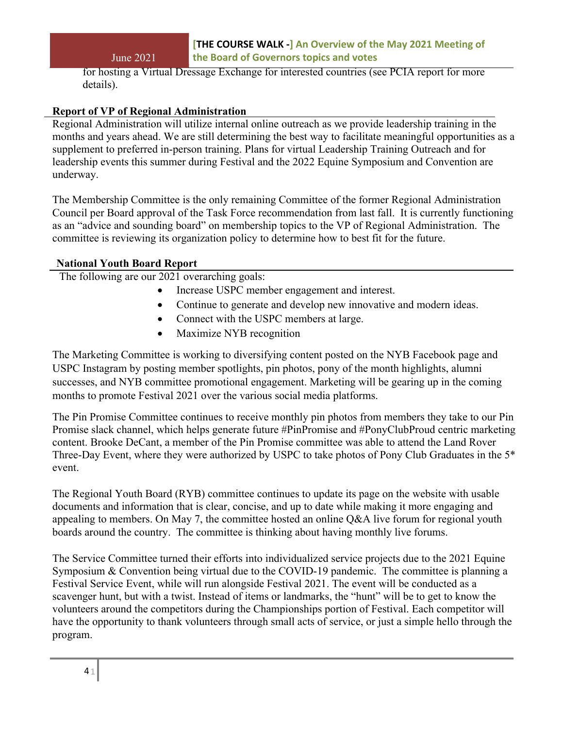for hosting a Virtual Dressage Exchange for interested countries (see PCIA report for more details).

## **Report of VP of Regional Administration**

Regional Administration will utilize internal online outreach as we provide leadership training in the months and years ahead. We are still determining the best way to facilitate meaningful opportunities as a supplement to preferred in-person training. Plans for virtual Leadership Training Outreach and for leadership events this summer during Festival and the 2022 Equine Symposium and Convention are underway.

The Membership Committee is the only remaining Committee of the former Regional Administration Council per Board approval of the Task Force recommendation from last fall. It is currently functioning as an "advice and sounding board" on membership topics to the VP of Regional Administration. The committee is reviewing its organization policy to determine how to best fit for the future.

#### **National Youth Board Report**

The following are our 2021 overarching goals:

- Increase USPC member engagement and interest.
- Continue to generate and develop new innovative and modern ideas.
- Connect with the USPC members at large.
- Maximize NYB recognition

The Marketing Committee is working to diversifying content posted on the NYB Facebook page and USPC Instagram by posting member spotlights, pin photos, pony of the month highlights, alumni successes, and NYB committee promotional engagement. Marketing will be gearing up in the coming months to promote Festival 2021 over the various social media platforms.

The Pin Promise Committee continues to receive monthly pin photos from members they take to our Pin Promise slack channel, which helps generate future #PinPromise and #PonyClubProud centric marketing content. Brooke DeCant, a member of the Pin Promise committee was able to attend the Land Rover Three-Day Event, where they were authorized by USPC to take photos of Pony Club Graduates in the 5\* event.

The Regional Youth Board (RYB) committee continues to update its page on the website with usable documents and information that is clear, concise, and up to date while making it more engaging and appealing to members. On May 7, the committee hosted an online Q&A live forum for regional youth boards around the country. The committee is thinking about having monthly live forums.

The Service Committee turned their efforts into individualized service projects due to the 2021 Equine Symposium & Convention being virtual due to the COVID-19 pandemic. The committee is planning a Festival Service Event, while will run alongside Festival 2021. The event will be conducted as a scavenger hunt, but with a twist. Instead of items or landmarks, the "hunt" will be to get to know the volunteers around the competitors during the Championships portion of Festival. Each competitor will have the opportunity to thank volunteers through small acts of service, or just a simple hello through the program.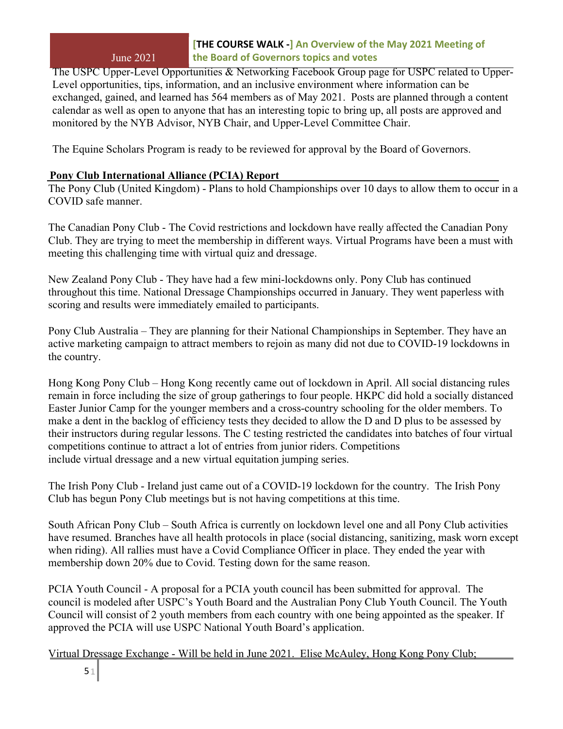The USPC Upper-Level Opportunities & Networking Facebook Group page for USPC related to Upper-Level opportunities, tips, information, and an inclusive environment where information can be exchanged, gained, and learned has 564 members as of May 2021. Posts are planned through a content calendar as well as open to anyone that has an interesting topic to bring up, all posts are approved and monitored by the NYB Advisor, NYB Chair, and Upper-Level Committee Chair.

The Equine Scholars Program is ready to be reviewed for approval by the Board of Governors.

# **Pony Club International Alliance (PCIA) Report**

The Pony Club (United Kingdom) - Plans to hold Championships over 10 days to allow them to occur in a COVID safe manner.

The Canadian Pony Club - The Covid restrictions and lockdown have really affected the Canadian Pony Club. They are trying to meet the membership in different ways. Virtual Programs have been a must with meeting this challenging time with virtual quiz and dressage.

New Zealand Pony Club - They have had a few mini-lockdowns only. Pony Club has continued throughout this time. National Dressage Championships occurred in January. They went paperless with scoring and results were immediately emailed to participants.

Pony Club Australia – They are planning for their National Championships in September. They have an active marketing campaign to attract members to rejoin as many did not due to COVID-19 lockdowns in the country.

Hong Kong Pony Club – Hong Kong recently came out of lockdown in April. All social distancing rules remain in force including the size of group gatherings to four people. HKPC did hold a socially distanced Easter Junior Camp for the younger members and a cross-country schooling for the older members. To make a dent in the backlog of efficiency tests they decided to allow the D and D plus to be assessed by their instructors during regular lessons. The C testing restricted the candidates into batches of four virtual competitions continue to attract a lot of entries from junior riders. Competitions include virtual dressage and a new virtual equitation jumping series.

The Irish Pony Club - Ireland just came out of a COVID-19 lockdown for the country. The Irish Pony Club has begun Pony Club meetings but is not having competitions at this time.

South African Pony Club – South Africa is currently on lockdown level one and all Pony Club activities have resumed. Branches have all health protocols in place (social distancing, sanitizing, mask worn except when riding). All rallies must have a Covid Compliance Officer in place. They ended the year with membership down 20% due to Covid. Testing down for the same reason.

PCIA Youth Council - A proposal for a PCIA youth council has been submitted for approval. The council is modeled after USPC's Youth Board and the Australian Pony Club Youth Council. The Youth Council will consist of 2 youth members from each country with one being appointed as the speaker. If approved the PCIA will use USPC National Youth Board's application.

Virtual Dressage Exchange - Will be held in June 2021. Elise McAuley, Hong Kong Pony Club;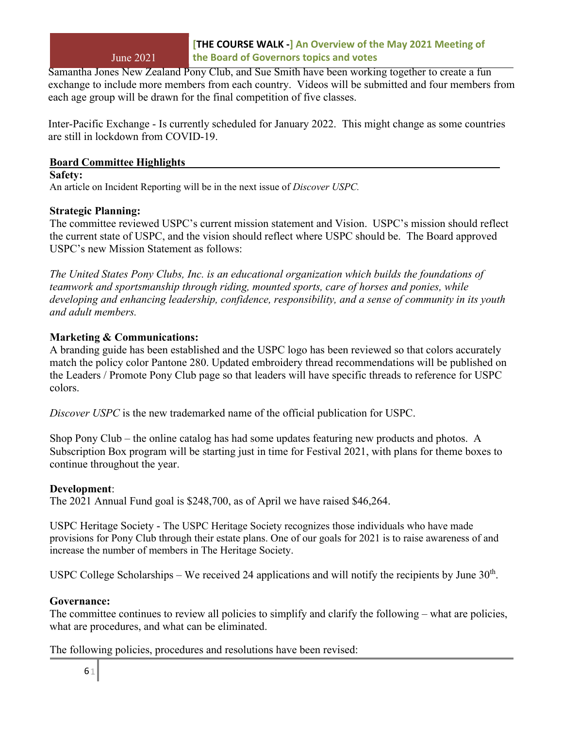Samantha Jones New Zealand Pony Club, and Sue Smith have been working together to create a fun exchange to include more members from each country. Videos will be submitted and four members from each age group will be drawn for the final competition of five classes.

Inter-Pacific Exchange - Is currently scheduled for January 2022. This might change as some countries are still in lockdown from COVID-19.

## **Board Committee Highlights**

#### **Safety:**

An article on Incident Reporting will be in the next issue of *Discover USPC.* 

## **Strategic Planning:**

The committee reviewed USPC's current mission statement and Vision. USPC's mission should reflect the current state of USPC, and the vision should reflect where USPC should be. The Board approved USPC's new Mission Statement as follows:

*The United States Pony Clubs, Inc. is an educational organization which builds the foundations of teamwork and sportsmanship through riding, mounted sports, care of horses and ponies, while developing and enhancing leadership, confidence, responsibility, and a sense of community in its youth and adult members.*

## **Marketing & Communications:**

A branding guide has been established and the USPC logo has been reviewed so that colors accurately match the policy color Pantone 280. Updated embroidery thread recommendations will be published on the Leaders / Promote Pony Club page so that leaders will have specific threads to reference for USPC colors.

*Discover USPC* is the new trademarked name of the official publication for USPC.

Shop Pony Club – the online catalog has had some updates featuring new products and photos. A Subscription Box program will be starting just in time for Festival 2021, with plans for theme boxes to continue throughout the year.

#### **Development**:

The 2021 Annual Fund goal is \$248,700, as of April we have raised \$46,264.

USPC Heritage Society - The USPC Heritage Society recognizes those individuals who have made provisions for Pony Club through their estate plans. One of our goals for 2021 is to raise awareness of and increase the number of members in The Heritage Society.

USPC College Scholarships – We received 24 applications and will notify the recipients by June  $30<sup>th</sup>$ .

#### **Governance:**

The committee continues to review all policies to simplify and clarify the following – what are policies, what are procedures, and what can be eliminated.

The following policies, procedures and resolutions have been revised: